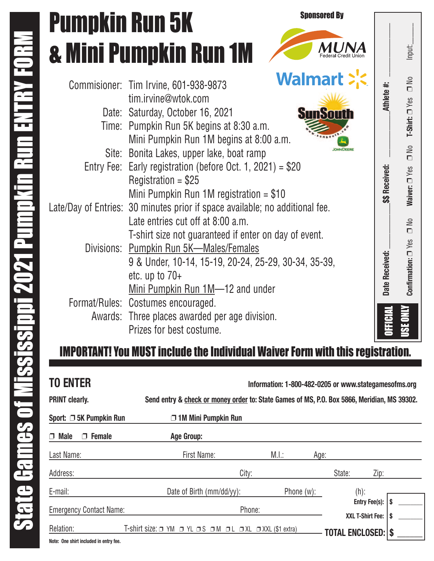## Commisioner: Tim Irvine, 601-938-9873 tim.irvine@wtok.com Pumpkin Run 5K & Mini Pumpkin Run 1M

- Date: Saturday, October 16, 2021 Time: Pumpkin Run 5K begins at 8:30 a.m. Mini Pumpkin Run 1M begins at 8:00 a.m.
- Site: Bonita Lakes, upper lake, boat ramp Entry Fee: Early registration (before Oct. 1, 2021) = \$20 Registration  $= $25$
- Mini Pumpkin Run 1M registration = \$10 Late/Day of Entries: 30 minutes prior if space available; no additional fee. Late entries cut off at 8:00 a.m.
	- T-shirt size not guaranteed if enter on day of event.

**Date Received: \_\_\_\_\_\_\_\_\_\_\_\_\$\$ Received: \_\_\_\_\_\_\_\_\_\_\_\_Athlete #: \_\_\_\_\_\_\_\_\_\_\_\_\_\_** 

\$\$ Received:

Athlete #:

Sponsored By

b

MUNA

**Confirmation:** Confirmation:  $\square$  Yes

USE ONLY

OFFICIAL

Date Received:

❐ No **Waiver:**

 $\mathop{\mathsf{SO}}$  $\Box$ 

Waiver: <sup>Nes</sup>

❐ No **T-Shirt:**

 $\frac{1}{2}$ 

T-Shirt: 0 Yes

 $\square$  No  $\square$ 

 $\frac{1}{2}$ 

Input:

- Divisions: Pumpkin Run 5K—Males/Females 9 & Under, 10-14, 15-19, 20-24, 25-29, 30-34, 35-39, etc. up to 70+ Mini Pumpkin Run 1M-12 and under
- Format/Rules: Costumes encouraged. Awards: Three places awarded per age division. Prizes for best costume.

### IMPORTANT! You MUST include the Individual Waiver Form with this registration.

| <b>TO ENTER</b>                   | Information: 1-800-482-0205 or www.stategamesofms.org                                       |               |                                   |  |
|-----------------------------------|---------------------------------------------------------------------------------------------|---------------|-----------------------------------|--|
| <b>PRINT clearly.</b>             | Send entry & check or money order to: State Games of MS, P.O. Box 5866, Meridian, MS 39302. |               |                                   |  |
| Sport: □ 5K Pumpkin Run           | $\Box$ 1M Mini Pumpkin Run                                                                  |               |                                   |  |
| <b>Female</b><br><b>Male</b><br>Π | Age Group:                                                                                  |               |                                   |  |
| Last Name:                        | First Name:                                                                                 | M.l.:<br>Age: |                                   |  |
| Address:                          | City:                                                                                       |               | State:<br>Zip:                    |  |
| E-mail:                           | Date of Birth (mm/dd/yy):                                                                   | Phone $(w)$ : | $(h)$ :                           |  |
| <b>Emergency Contact Name:</b>    | Phone:                                                                                      |               | Entry Fee(s):<br>XXL T-Shirt Fee: |  |
| Relation:<br>.                    | T-shirt size: □ YM □ YL □ S □ M □ L □ XL □ XXL (\$1 extra)                                  |               | <b>TOTAL ENCLOSED: \$</b>         |  |

**Note: One shirt included in entry fee.**